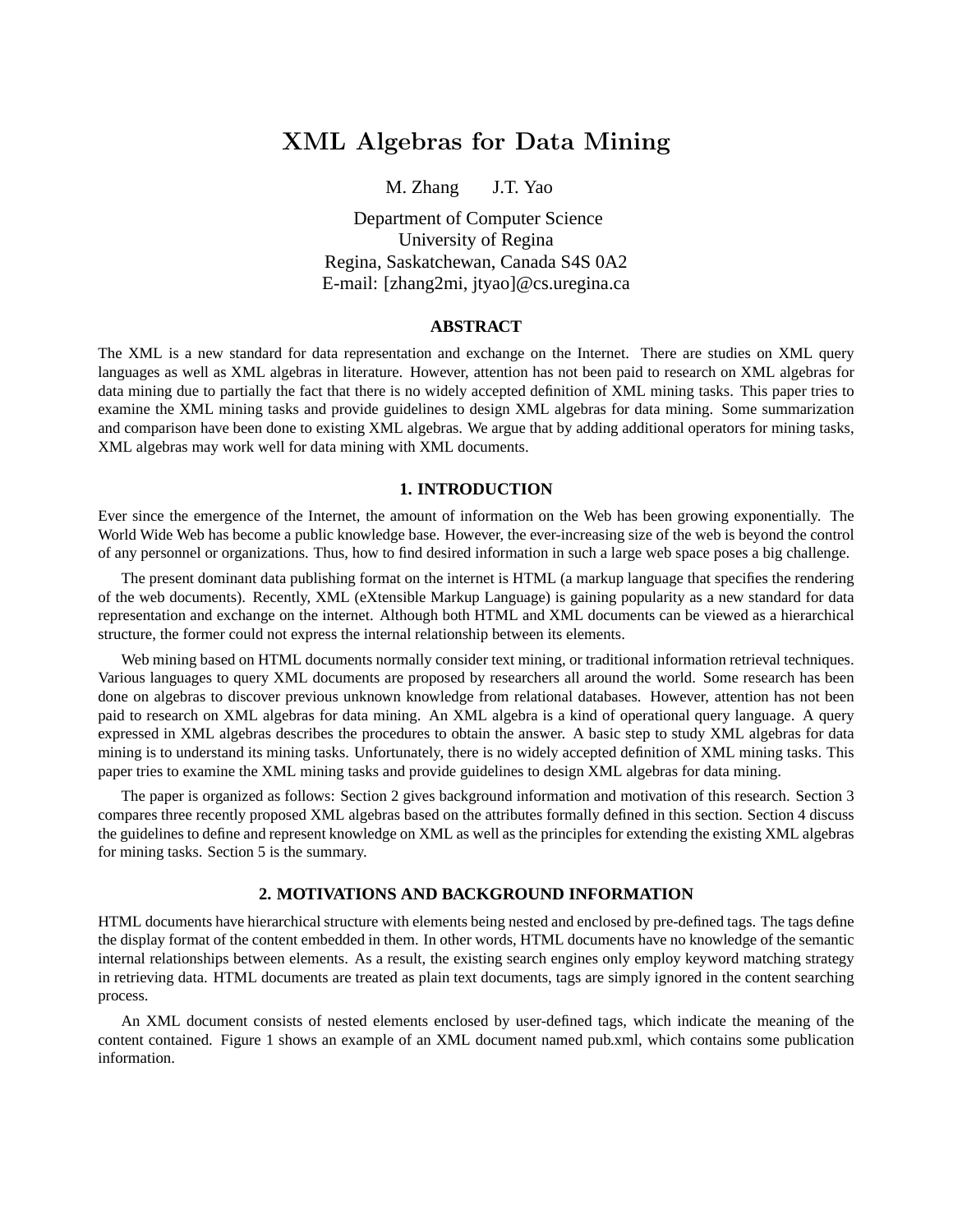# XML Algebras for Data Mining

M. Zhang J.T. Yao

Department of Computer Science University of Regina Regina, Saskatchewan, Canada S4S 0A2 E-mail: [zhang2mi, jtyao]@cs.uregina.ca

# **ABSTRACT**

The XML is a new standard for data representation and exchange on the Internet. There are studies on XML query languages as well as XML algebras in literature. However, attention has not been paid to research on XML algebras for data mining due to partially the fact that there is no widely accepted definition of XML mining tasks. This paper tries to examine the XML mining tasks and provide guidelines to design XML algebras for data mining. Some summarization and comparison have been done to existing XML algebras. We argue that by adding additional operators for mining tasks, XML algebras may work well for data mining with XML documents.

# **1. INTRODUCTION**

Ever since the emergence of the Internet, the amount of information on the Web has been growing exponentially. The World Wide Web has become a public knowledge base. However, the ever-increasing size of the web is beyond the control of any personnel or organizations. Thus, how to find desired information in such a large web space poses a big challenge.

The present dominant data publishing format on the internet is HTML (a markup language that specifies the rendering of the web documents). Recently, XML (eXtensible Markup Language) is gaining popularity as a new standard for data representation and exchange on the internet. Although both HTML and XML documents can be viewed as a hierarchical structure, the former could not express the internal relationship between its elements.

Web mining based on HTML documents normally consider text mining, or traditional information retrieval techniques. Various languages to query XML documents are proposed by researchers all around the world. Some research has been done on algebras to discover previous unknown knowledge from relational databases. However, attention has not been paid to research on XML algebras for data mining. An XML algebra is a kind of operational query language. A query expressed in XML algebras describes the procedures to obtain the answer. A basic step to study XML algebras for data mining is to understand its mining tasks. Unfortunately, there is no widely accepted definition of XML mining tasks. This paper tries to examine the XML mining tasks and provide guidelines to design XML algebras for data mining.

The paper is organized as follows: Section 2 gives background information and motivation of this research. Section 3 compares three recently proposed XML algebras based on the attributes formally defined in this section. Section 4 discuss the guidelines to define and represent knowledge on XML as well as the principles for extending the existing XML algebras for mining tasks. Section 5 is the summary.

#### **2. MOTIVATIONS AND BACKGROUND INFORMATION**

HTML documents have hierarchical structure with elements being nested and enclosed by pre-defined tags. The tags define the display format of the content embedded in them. In other words, HTML documents have no knowledge of the semantic internal relationships between elements. As a result, the existing search engines only employ keyword matching strategy in retrieving data. HTML documents are treated as plain text documents, tags are simply ignored in the content searching process.

An XML document consists of nested elements enclosed by user-defined tags, which indicate the meaning of the content contained. Figure 1 shows an example of an XML document named pub.xml, which contains some publication information.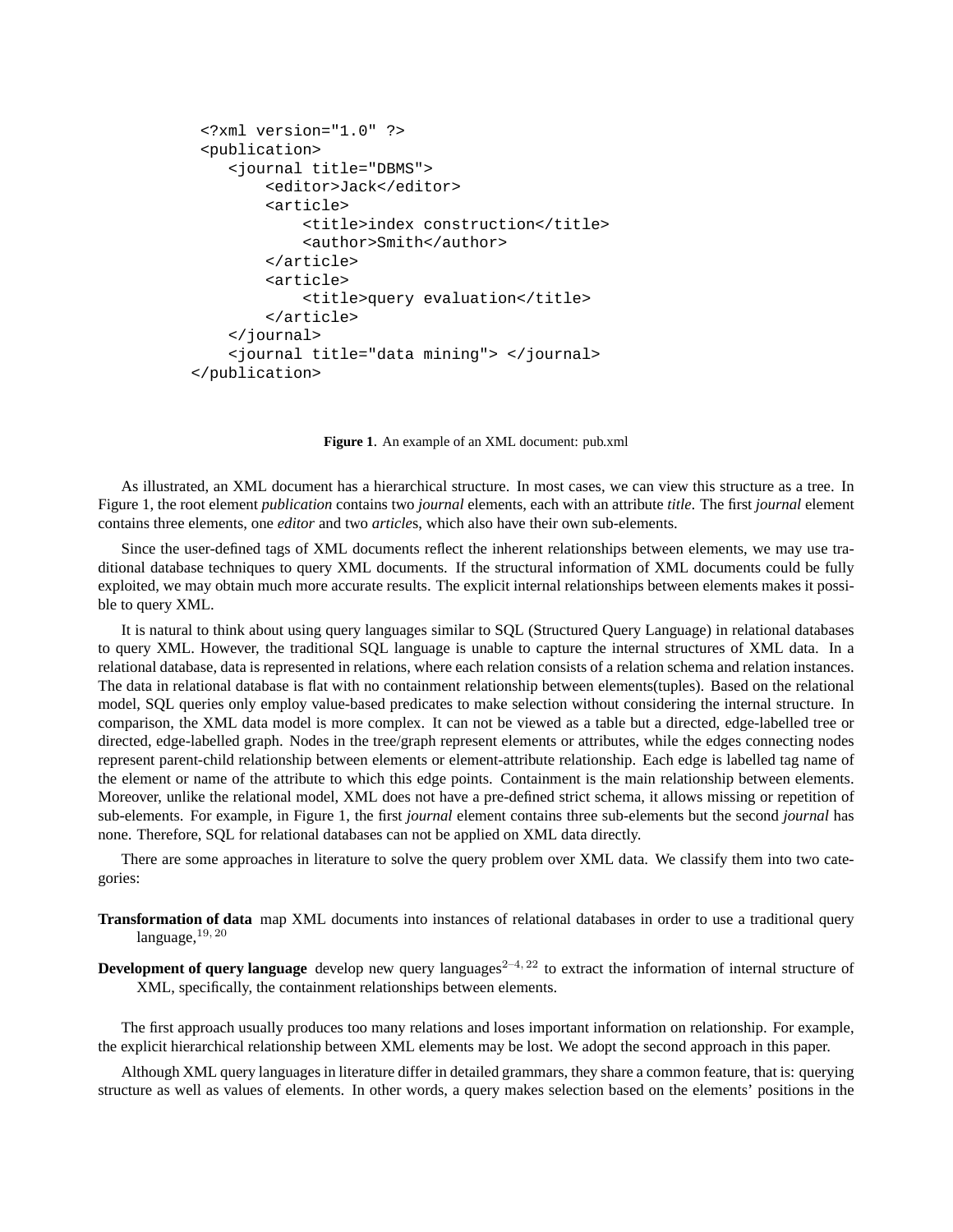```
<?xml version="1.0" ?>
 <publication>
    <journal title="DBMS">
        <editor>Jack</editor>
        <article>
            <title>index construction</title>
            <author>Smith</author>
        </article>
        <article>
            <title>query evaluation</title>
        </article>
    </journal>
    <journal title="data mining"> </journal>
</publication>
```
**Figure 1**. An example of an XML document: pub.xml

As illustrated, an XML document has a hierarchical structure. In most cases, we can view this structure as a tree. In Figure 1, the root element *publication* contains two *journal* elements, each with an attribute *title*. The first *journal* element contains three elements, one *editor* and two *article*s, which also have their own sub-elements.

Since the user-defined tags of XML documents reflect the inherent relationships between elements, we may use traditional database techniques to query XML documents. If the structural information of XML documents could be fully exploited, we may obtain much more accurate results. The explicit internal relationships between elements makes it possible to query XML.

It is natural to think about using query languages similar to SQL (Structured Query Language) in relational databases to query XML. However, the traditional SQL language is unable to capture the internal structures of XML data. In a relational database, data is represented in relations, where each relation consists of a relation schema and relation instances. The data in relational database is flat with no containment relationship between elements(tuples). Based on the relational model, SQL queries only employ value-based predicates to make selection without considering the internal structure. In comparison, the XML data model is more complex. It can not be viewed as a table but a directed, edge-labelled tree or directed, edge-labelled graph. Nodes in the tree/graph represent elements or attributes, while the edges connecting nodes represent parent-child relationship between elements or element-attribute relationship. Each edge is labelled tag name of the element or name of the attribute to which this edge points. Containment is the main relationship between elements. Moreover, unlike the relational model, XML does not have a pre-defined strict schema, it allows missing or repetition of sub-elements. For example, in Figure 1, the first *journal* element contains three sub-elements but the second *journal* has none. Therefore, SQL for relational databases can not be applied on XML data directly.

There are some approaches in literature to solve the query problem over XML data. We classify them into two categories:

- **Transformation of data** map XML documents into instances of relational databases in order to use a traditional query language, $19, 20$
- **Development of query language** develop new query languages<sup> $2-4, 22$ </sup> to extract the information of internal structure of XML, specifically, the containment relationships between elements.

The first approach usually produces too many relations and loses important information on relationship. For example, the explicit hierarchical relationship between XML elements may be lost. We adopt the second approach in this paper.

Although XML query languages in literature differ in detailed grammars, they share a common feature, that is: querying structure as well as values of elements. In other words, a query makes selection based on the elements' positions in the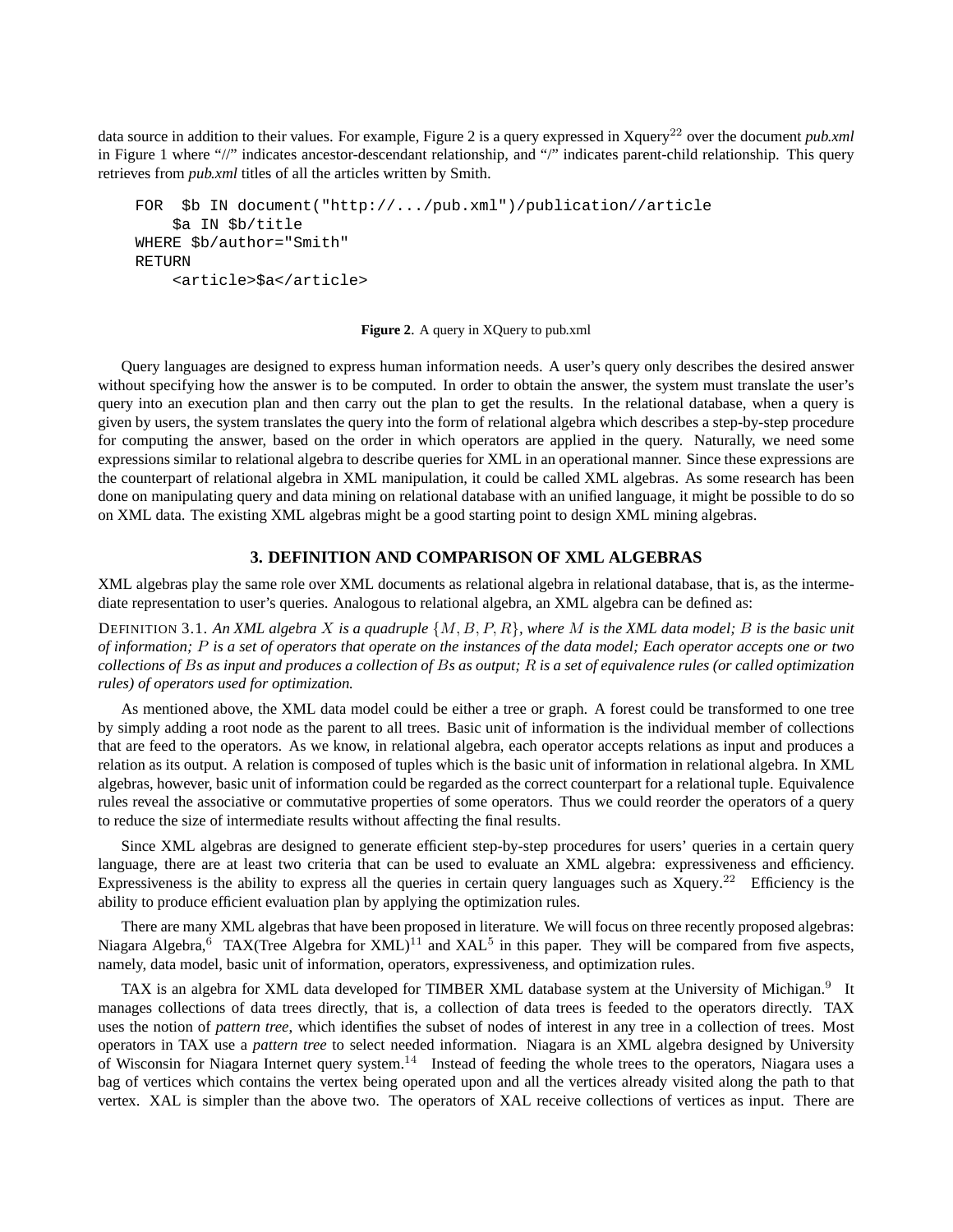data source in addition to their values. For example, Figure 2 is a query expressed in Xquery<sup>22</sup> over the document *pub.xml* in Figure 1 where "//" indicates ancestor-descendant relationship, and "/" indicates parent-child relationship. This query retrieves from *pub.xml* titles of all the articles written by Smith.

```
FOR $b IN document("http://.../pub.xml")/publication//article
    $a IN $b/title
WHERE $b/author="Smith"
RETURN
    <article>$a</article>
```
#### **Figure 2**. A query in XQuery to pub.xml

Query languages are designed to express human information needs. A user's query only describes the desired answer without specifying how the answer is to be computed. In order to obtain the answer, the system must translate the user's query into an execution plan and then carry out the plan to get the results. In the relational database, when a query is given by users, the system translates the query into the form of relational algebra which describes a step-by-step procedure for computing the answer, based on the order in which operators are applied in the query. Naturally, we need some expressions similar to relational algebra to describe queries for XML in an operational manner. Since these expressions are the counterpart of relational algebra in XML manipulation, it could be called XML algebras. As some research has been done on manipulating query and data mining on relational database with an unified language, it might be possible to do so on XML data. The existing XML algebras might be a good starting point to design XML mining algebras.

# **3. DEFINITION AND COMPARISON OF XML ALGEBRAS**

XML algebras play the same role over XML documents as relational algebra in relational database, that is, as the intermediate representation to user's queries. Analogous to relational algebra, an XML algebra can be defined as:

DEFINITION 3.1. *An XML algebra* X *is a quadruple* {M, B, P, R}*, where* M *is the XML data model;* B *is the basic unit of information;* P *is a set of operators that operate on the instances of the data model; Each operator accepts one or two collections of* B*s as input and produces a collection of* B*s as output;* R *is a set of equivalence rules (or called optimization rules) of operators used for optimization.*

As mentioned above, the XML data model could be either a tree or graph. A forest could be transformed to one tree by simply adding a root node as the parent to all trees. Basic unit of information is the individual member of collections that are feed to the operators. As we know, in relational algebra, each operator accepts relations as input and produces a relation as its output. A relation is composed of tuples which is the basic unit of information in relational algebra. In XML algebras, however, basic unit of information could be regarded as the correct counterpart for a relational tuple. Equivalence rules reveal the associative or commutative properties of some operators. Thus we could reorder the operators of a query to reduce the size of intermediate results without affecting the final results.

Since XML algebras are designed to generate efficient step-by-step procedures for users' queries in a certain query language, there are at least two criteria that can be used to evaluate an XML algebra: expressiveness and efficiency. Expressiveness is the ability to express all the queries in certain query languages such as Xquery.<sup>22</sup> Efficiency is the ability to produce efficient evaluation plan by applying the optimization rules.

There are many XML algebras that have been proposed in literature. We will focus on three recently proposed algebras: Niagara Algebra, <sup>6</sup> TAX(Tree Algebra for XML)<sup>11</sup> and XAL<sup>5</sup> in this paper. They will be compared from five aspects, namely, data model, basic unit of information, operators, expressiveness, and optimization rules.

TAX is an algebra for XML data developed for TIMBER XML database system at the University of Michigan.<sup>9</sup> It manages collections of data trees directly, that is, a collection of data trees is feeded to the operators directly. TAX uses the notion of *pattern tree*, which identifies the subset of nodes of interest in any tree in a collection of trees. Most operators in TAX use a *pattern tree* to select needed information. Niagara is an XML algebra designed by University of Wisconsin for Niagara Internet query system.<sup>14</sup> Instead of feeding the whole trees to the operators, Niagara uses a bag of vertices which contains the vertex being operated upon and all the vertices already visited along the path to that vertex. XAL is simpler than the above two. The operators of XAL receive collections of vertices as input. There are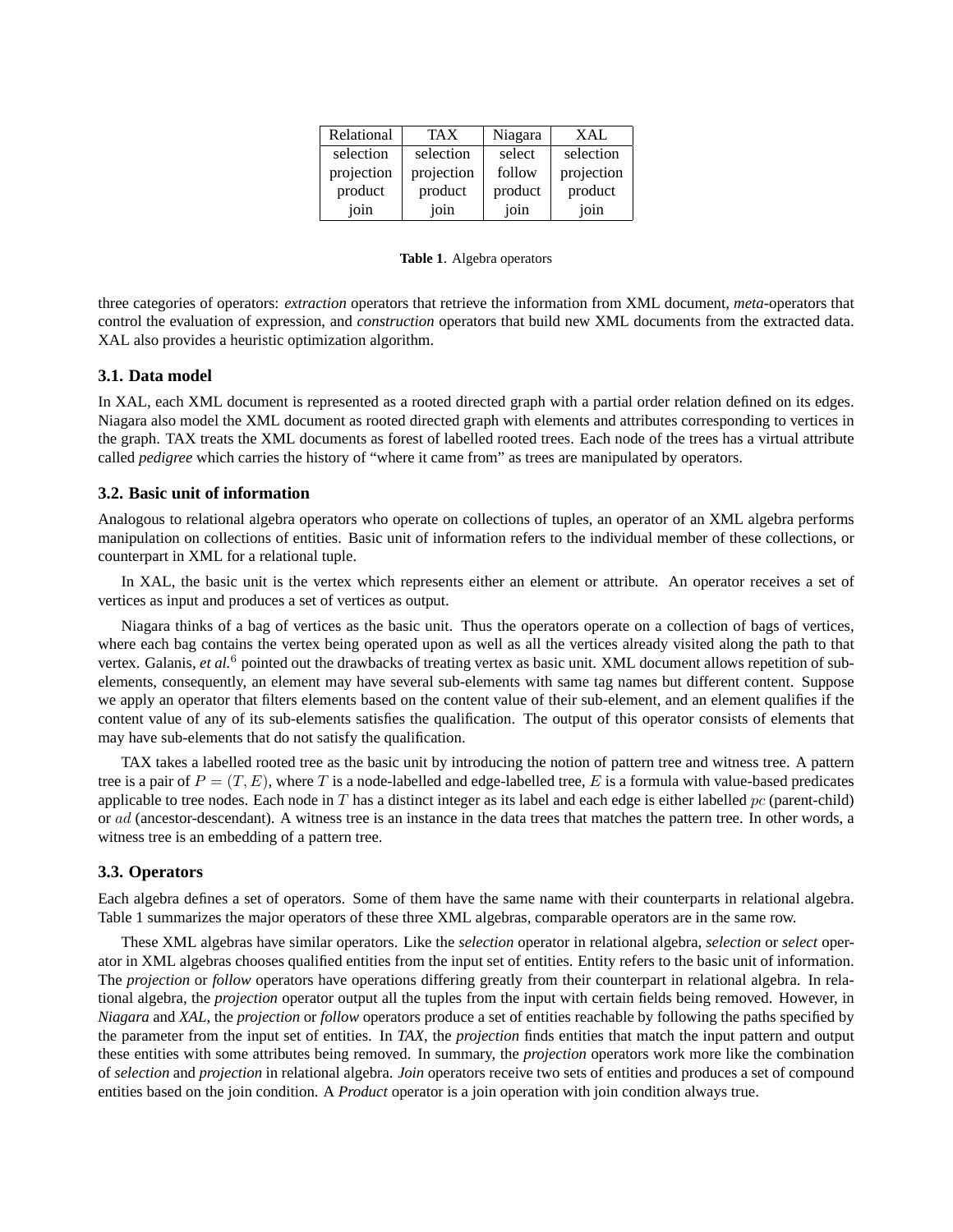| Relational | <b>TAX</b> | Niagara | XAL        |
|------------|------------|---------|------------|
| selection  | selection  | select  | selection  |
| projection | projection | follow  | projection |
| product    | product    | product | product    |
| join       | join       | join    | join       |

#### **Table 1**. Algebra operators

three categories of operators: *extraction* operators that retrieve the information from XML document, *meta*-operators that control the evaluation of expression, and *construction* operators that build new XML documents from the extracted data. XAL also provides a heuristic optimization algorithm.

# **3.1. Data model**

In XAL, each XML document is represented as a rooted directed graph with a partial order relation defined on its edges. Niagara also model the XML document as rooted directed graph with elements and attributes corresponding to vertices in the graph. TAX treats the XML documents as forest of labelled rooted trees. Each node of the trees has a virtual attribute called *pedigree* which carries the history of "where it came from" as trees are manipulated by operators.

#### **3.2. Basic unit of information**

Analogous to relational algebra operators who operate on collections of tuples, an operator of an XML algebra performs manipulation on collections of entities. Basic unit of information refers to the individual member of these collections, or counterpart in XML for a relational tuple.

In XAL, the basic unit is the vertex which represents either an element or attribute. An operator receives a set of vertices as input and produces a set of vertices as output.

Niagara thinks of a bag of vertices as the basic unit. Thus the operators operate on a collection of bags of vertices, where each bag contains the vertex being operated upon as well as all the vertices already visited along the path to that vertex. Galanis, *et al.*<sup>6</sup> pointed out the drawbacks of treating vertex as basic unit. XML document allows repetition of subelements, consequently, an element may have several sub-elements with same tag names but different content. Suppose we apply an operator that filters elements based on the content value of their sub-element, and an element qualifies if the content value of any of its sub-elements satisfies the qualification. The output of this operator consists of elements that may have sub-elements that do not satisfy the qualification.

TAX takes a labelled rooted tree as the basic unit by introducing the notion of pattern tree and witness tree. A pattern tree is a pair of  $P = (T, E)$ , where T is a node-labelled and edge-labelled tree, E is a formula with value-based predicates applicable to tree nodes. Each node in T has a distinct integer as its label and each edge is either labelled  $pc$  (parent-child) or ad (ancestor-descendant). A witness tree is an instance in the data trees that matches the pattern tree. In other words, a witness tree is an embedding of a pattern tree.

#### **3.3. Operators**

Each algebra defines a set of operators. Some of them have the same name with their counterparts in relational algebra. Table 1 summarizes the major operators of these three XML algebras, comparable operators are in the same row.

These XML algebras have similar operators. Like the *selection* operator in relational algebra, *selection* or *select* operator in XML algebras chooses qualified entities from the input set of entities. Entity refers to the basic unit of information. The *projection* or *follow* operators have operations differing greatly from their counterpart in relational algebra. In relational algebra, the *projection* operator output all the tuples from the input with certain fields being removed. However, in *Niagara* and *XAL*, the *projection* or *follow* operators produce a set of entities reachable by following the paths specified by the parameter from the input set of entities. In *TAX*, the *projection* finds entities that match the input pattern and output these entities with some attributes being removed. In summary, the *projection* operators work more like the combination of *selection* and *projection* in relational algebra. *Join* operators receive two sets of entities and produces a set of compound entities based on the join condition. A *Product* operator is a join operation with join condition always true.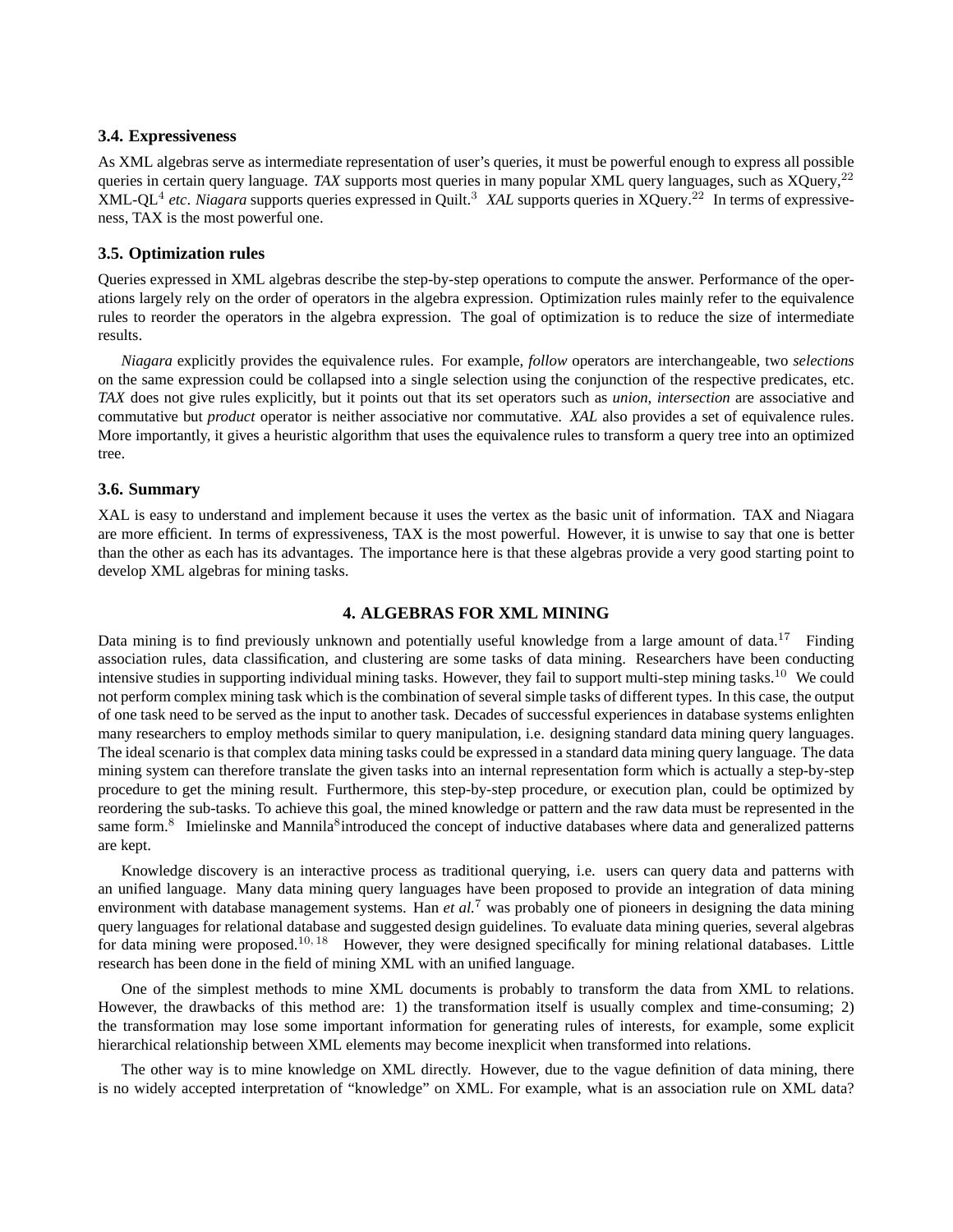# **3.4. Expressiveness**

As XML algebras serve as intermediate representation of user's queries, it must be powerful enough to express all possible queries in certain query language. *TAX* supports most queries in many popular XML query languages, such as XQuery,<sup>22</sup> XML-QL<sup>4</sup> etc. *Niagara* supports queries expressed in Quilt.<sup>3</sup> XAL supports queries in XQuery.<sup>22</sup> In terms of expressiveness, TAX is the most powerful one.

#### **3.5. Optimization rules**

Queries expressed in XML algebras describe the step-by-step operations to compute the answer. Performance of the operations largely rely on the order of operators in the algebra expression. Optimization rules mainly refer to the equivalence rules to reorder the operators in the algebra expression. The goal of optimization is to reduce the size of intermediate results.

*Niagara* explicitly provides the equivalence rules. For example, *follow* operators are interchangeable, two *selections* on the same expression could be collapsed into a single selection using the conjunction of the respective predicates, etc. *TAX* does not give rules explicitly, but it points out that its set operators such as *union*, *intersection* are associative and commutative but *product* operator is neither associative nor commutative. *XAL* also provides a set of equivalence rules. More importantly, it gives a heuristic algorithm that uses the equivalence rules to transform a query tree into an optimized tree.

# **3.6. Summary**

XAL is easy to understand and implement because it uses the vertex as the basic unit of information. TAX and Niagara are more efficient. In terms of expressiveness, TAX is the most powerful. However, it is unwise to say that one is better than the other as each has its advantages. The importance here is that these algebras provide a very good starting point to develop XML algebras for mining tasks.

#### **4. ALGEBRAS FOR XML MINING**

Data mining is to find previously unknown and potentially useful knowledge from a large amount of data.<sup>17</sup> Finding association rules, data classification, and clustering are some tasks of data mining. Researchers have been conducting intensive studies in supporting individual mining tasks. However, they fail to support multi-step mining tasks.<sup>10</sup> We could not perform complex mining task which is the combination of several simple tasks of different types. In this case, the output of one task need to be served as the input to another task. Decades of successful experiences in database systems enlighten many researchers to employ methods similar to query manipulation, i.e. designing standard data mining query languages. The ideal scenario is that complex data mining tasks could be expressed in a standard data mining query language. The data mining system can therefore translate the given tasks into an internal representation form which is actually a step-by-step procedure to get the mining result. Furthermore, this step-by-step procedure, or execution plan, could be optimized by reordering the sub-tasks. To achieve this goal, the mined knowledge or pattern and the raw data must be represented in the same form.<sup>8</sup> Imielinske and Mannila<sup>8</sup>introduced the concept of inductive databases where data and generalized patterns are kept.

Knowledge discovery is an interactive process as traditional querying, i.e. users can query data and patterns with an unified language. Many data mining query languages have been proposed to provide an integration of data mining environment with database management systems. Han *et al.*<sup>7</sup> was probably one of pioneers in designing the data mining query languages for relational database and suggested design guidelines. To evaluate data mining queries, several algebras for data mining were proposed.<sup>10, 18</sup> However, they were designed specifically for mining relational databases. Little research has been done in the field of mining XML with an unified language.

One of the simplest methods to mine XML documents is probably to transform the data from XML to relations. However, the drawbacks of this method are: 1) the transformation itself is usually complex and time-consuming; 2) the transformation may lose some important information for generating rules of interests, for example, some explicit hierarchical relationship between XML elements may become inexplicit when transformed into relations.

The other way is to mine knowledge on XML directly. However, due to the vague definition of data mining, there is no widely accepted interpretation of "knowledge" on XML. For example, what is an association rule on XML data?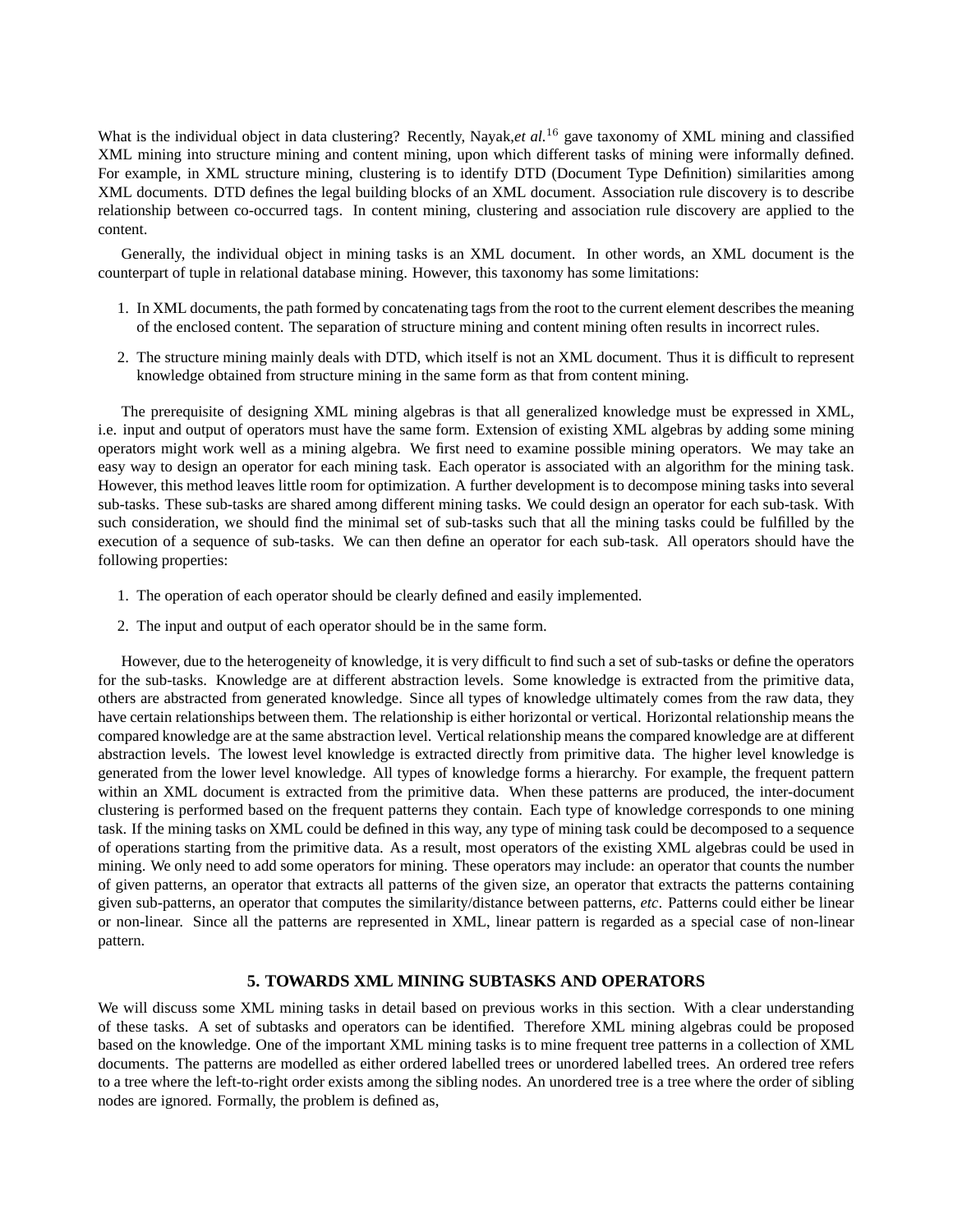What is the individual object in data clustering? Recently, Nayak,*et al.*<sup>16</sup> gave taxonomy of XML mining and classified XML mining into structure mining and content mining, upon which different tasks of mining were informally defined. For example, in XML structure mining, clustering is to identify DTD (Document Type Definition) similarities among XML documents. DTD defines the legal building blocks of an XML document. Association rule discovery is to describe relationship between co-occurred tags. In content mining, clustering and association rule discovery are applied to the content.

Generally, the individual object in mining tasks is an XML document. In other words, an XML document is the counterpart of tuple in relational database mining. However, this taxonomy has some limitations:

- 1. In XML documents, the path formed by concatenating tags from the root to the current element describes the meaning of the enclosed content. The separation of structure mining and content mining often results in incorrect rules.
- 2. The structure mining mainly deals with DTD, which itself is not an XML document. Thus it is difficult to represent knowledge obtained from structure mining in the same form as that from content mining.

The prerequisite of designing XML mining algebras is that all generalized knowledge must be expressed in XML, i.e. input and output of operators must have the same form. Extension of existing XML algebras by adding some mining operators might work well as a mining algebra. We first need to examine possible mining operators. We may take an easy way to design an operator for each mining task. Each operator is associated with an algorithm for the mining task. However, this method leaves little room for optimization. A further development is to decompose mining tasks into several sub-tasks. These sub-tasks are shared among different mining tasks. We could design an operator for each sub-task. With such consideration, we should find the minimal set of sub-tasks such that all the mining tasks could be fulfilled by the execution of a sequence of sub-tasks. We can then define an operator for each sub-task. All operators should have the following properties:

- 1. The operation of each operator should be clearly defined and easily implemented.
- 2. The input and output of each operator should be in the same form.

However, due to the heterogeneity of knowledge, it is very difficult to find such a set of sub-tasks or define the operators for the sub-tasks. Knowledge are at different abstraction levels. Some knowledge is extracted from the primitive data, others are abstracted from generated knowledge. Since all types of knowledge ultimately comes from the raw data, they have certain relationships between them. The relationship is either horizontal or vertical. Horizontal relationship means the compared knowledge are at the same abstraction level. Vertical relationship means the compared knowledge are at different abstraction levels. The lowest level knowledge is extracted directly from primitive data. The higher level knowledge is generated from the lower level knowledge. All types of knowledge forms a hierarchy. For example, the frequent pattern within an XML document is extracted from the primitive data. When these patterns are produced, the inter-document clustering is performed based on the frequent patterns they contain. Each type of knowledge corresponds to one mining task. If the mining tasks on XML could be defined in this way, any type of mining task could be decomposed to a sequence of operations starting from the primitive data. As a result, most operators of the existing XML algebras could be used in mining. We only need to add some operators for mining. These operators may include: an operator that counts the number of given patterns, an operator that extracts all patterns of the given size, an operator that extracts the patterns containing given sub-patterns, an operator that computes the similarity/distance between patterns, *etc*. Patterns could either be linear or non-linear. Since all the patterns are represented in XML, linear pattern is regarded as a special case of non-linear pattern.

#### **5. TOWARDS XML MINING SUBTASKS AND OPERATORS**

We will discuss some XML mining tasks in detail based on previous works in this section. With a clear understanding of these tasks. A set of subtasks and operators can be identified. Therefore XML mining algebras could be proposed based on the knowledge. One of the important XML mining tasks is to mine frequent tree patterns in a collection of XML documents. The patterns are modelled as either ordered labelled trees or unordered labelled trees. An ordered tree refers to a tree where the left-to-right order exists among the sibling nodes. An unordered tree is a tree where the order of sibling nodes are ignored. Formally, the problem is defined as,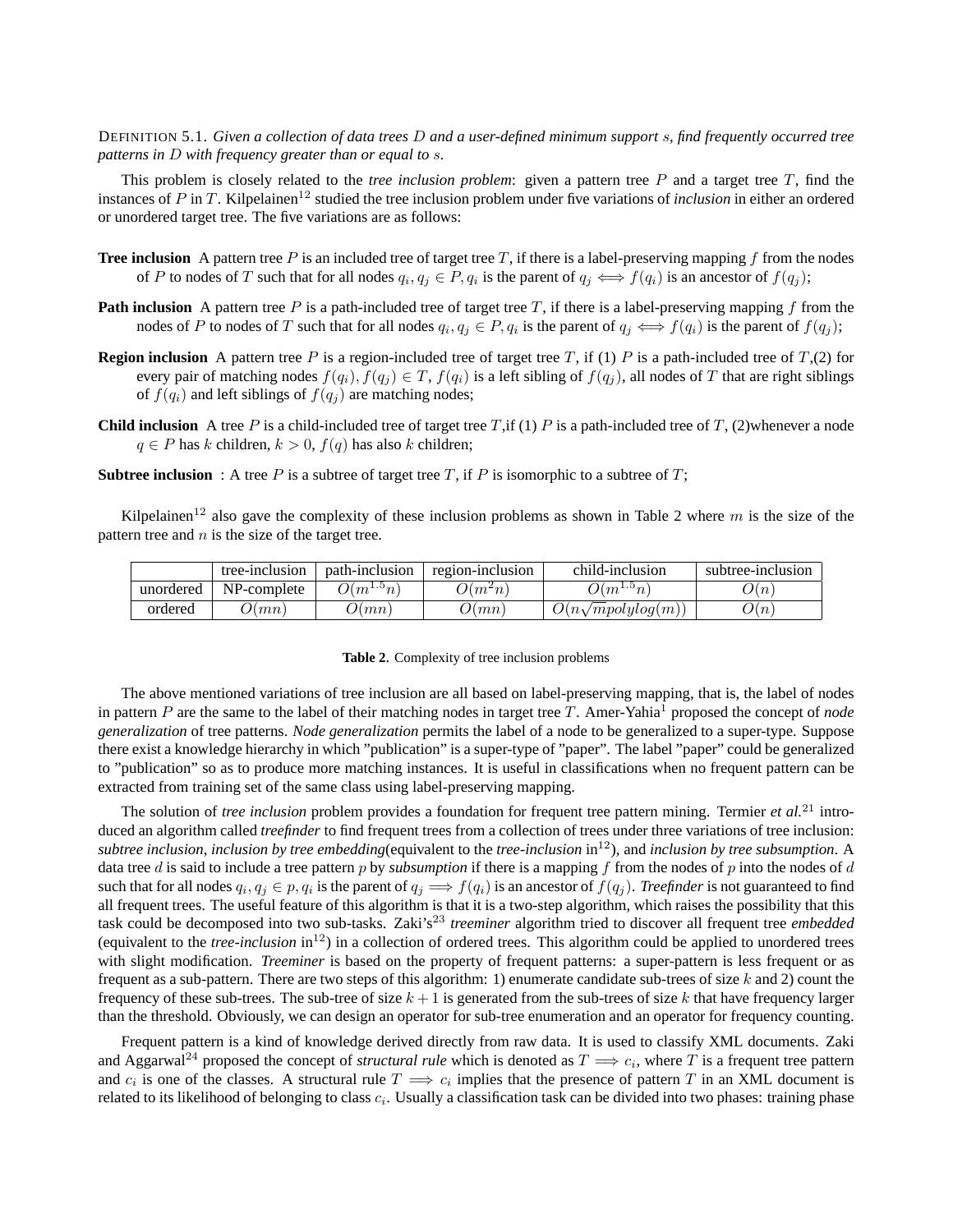DEFINITION 5.1. *Given a collection of data trees* D *and a user-defined minimum support* s*, find frequently occurred tree patterns in* D *with frequency greater than or equal to* s*.*

This problem is closely related to the *tree inclusion problem*: given a pattern tree P and a target tree T, find the instances of P in T. Kilpelainen<sup>12</sup> studied the tree inclusion problem under five variations of *inclusion* in either an ordered or unordered target tree. The five variations are as follows:

- **Tree inclusion** A pattern tree P is an included tree of target tree T, if there is a label-preserving mapping f from the nodes of P to nodes of T such that for all nodes  $q_i, q_j \in P, q_i$  is the parent of  $q_j \iff f(q_i)$  is an ancestor of  $f(q_j)$ ;
- **Path inclusion** A pattern tree  $P$  is a path-included tree of target tree  $T$ , if there is a label-preserving mapping  $f$  from the nodes of P to nodes of T such that for all nodes  $q_i, q_j \in P, q_i$  is the parent of  $q_j \iff f(q_i)$  is the parent of  $f(q_j)$ ;
- **Region inclusion** A pattern tree P is a region-included tree of target tree T, if (1) P is a path-included tree of  $T$ ,(2) for every pair of matching nodes  $f(q_i), f(q_j) \in T$ ,  $f(q_i)$  is a left sibling of  $f(q_j)$ , all nodes of T that are right siblings of  $f(q_i)$  and left siblings of  $f(q_j)$  are matching nodes;
- **Child inclusion** A tree P is a child-included tree of target tree T, if (1) P is a path-included tree of T, (2)whenever a node  $q \in P$  has k children,  $k > 0$ ,  $f(q)$  has also k children;

#### **Subtree inclusion** : A tree P is a subtree of target tree T, if P is isomorphic to a subtree of T;

Kilpelainen<sup>12</sup> also gave the complexity of these inclusion problems as shown in Table 2 where m is the size of the pattern tree and  $n$  is the size of the target tree.

|           | tree-inclusion    | path-inclusion          | region-inclusion | child-inclusion          | subtree-inclusion |
|-----------|-------------------|-------------------------|------------------|--------------------------|-------------------|
| unordered | NP-complete       | $\mathcal{N}(m^{1.5}n)$ | $J(m^2n)$        | $\mathcal{I}(m^{1.5}n)$  | $\mathcal{S}(n)$  |
| ordered   | $\mathcal{I}(mn)$ | $\mathcal{I}(mn)$       | O(mn)            | $O(n\sqrt{mpolylog(m)})$ | $\mathcal{S}(n)$  |

#### **Table 2**. Complexity of tree inclusion problems

The above mentioned variations of tree inclusion are all based on label-preserving mapping, that is, the label of nodes in pattern  $P$  are the same to the label of their matching nodes in target tree  $T$ . Amer-Yahia<sup>1</sup> proposed the concept of *node generalization* of tree patterns. *Node generalization* permits the label of a node to be generalized to a super-type. Suppose there exist a knowledge hierarchy in which "publication" is a super-type of "paper". The label "paper" could be generalized to "publication" so as to produce more matching instances. It is useful in classifications when no frequent pattern can be extracted from training set of the same class using label-preserving mapping.

The solution of *tree inclusion* problem provides a foundation for frequent tree pattern mining. Termier *et al.*<sup>21</sup> introduced an algorithm called *treefinder* to find frequent trees from a collection of trees under three variations of tree inclusion: *subtree inclusion*, *inclusion by tree embedding*(equivalent to the *tree-inclusion* in<sup>12</sup>), and *inclusion by tree subsumption*. A data tree d is said to include a tree pattern  $p$  by *subsumption* if there is a mapping  $f$  from the nodes of  $p$  into the nodes of  $d$ such that for all nodes  $q_i, q_j \in p, q_i$  is the parent of  $q_j \implies f(q_i)$  is an ancestor of  $f(q_j)$ . *Treefinder* is not guaranteed to find all frequent trees. The useful feature of this algorithm is that it is a two-step algorithm, which raises the possibility that this task could be decomposed into two sub-tasks. Zaki's<sup>23</sup> treeminer algorithm tried to discover all frequent tree *embedded* (equivalent to the *tree-inclusion* in<sup>12</sup>) in a collection of ordered trees. This algorithm could be applied to unordered trees with slight modification. *Treeminer* is based on the property of frequent patterns: a super-pattern is less frequent or as frequent as a sub-pattern. There are two steps of this algorithm: 1) enumerate candidate sub-trees of size  $k$  and 2) count the frequency of these sub-trees. The sub-tree of size  $k + 1$  is generated from the sub-trees of size k that have frequency larger than the threshold. Obviously, we can design an operator for sub-tree enumeration and an operator for frequency counting.

Frequent pattern is a kind of knowledge derived directly from raw data. It is used to classify XML documents. Zaki and Aggarwal<sup>24</sup> proposed the concept of *structural rule* which is denoted as  $T \implies c_i$ , where T is a frequent tree pattern and  $c_i$  is one of the classes. A structural rule  $T \implies c_i$  implies that the presence of pattern T in an XML document is related to its likelihood of belonging to class  $c_i$ . Usually a classification task can be divided into two phases: training phase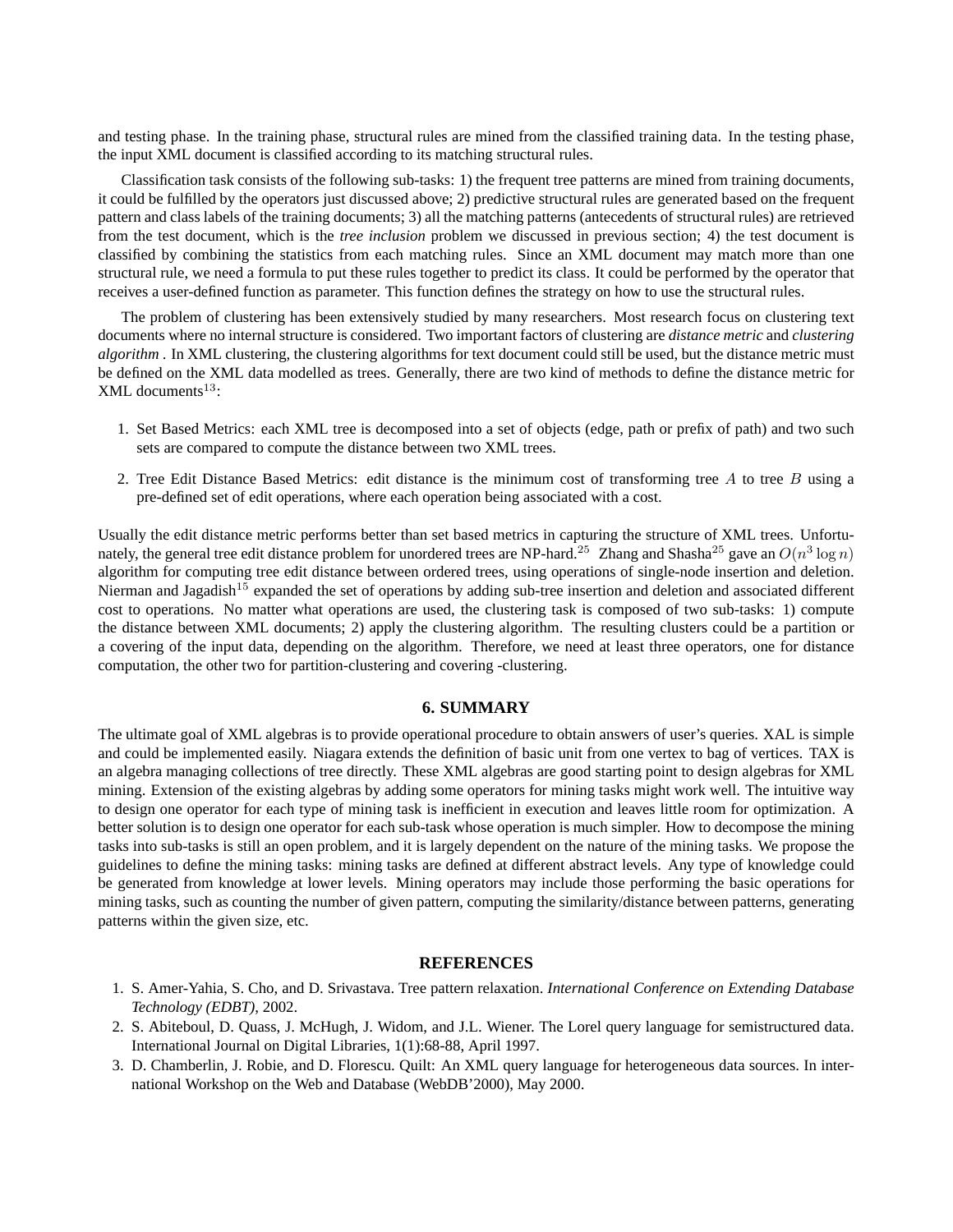and testing phase. In the training phase, structural rules are mined from the classified training data. In the testing phase, the input XML document is classified according to its matching structural rules.

Classification task consists of the following sub-tasks: 1) the frequent tree patterns are mined from training documents, it could be fulfilled by the operators just discussed above; 2) predictive structural rules are generated based on the frequent pattern and class labels of the training documents; 3) all the matching patterns (antecedents of structural rules) are retrieved from the test document, which is the *tree inclusion* problem we discussed in previous section; 4) the test document is classified by combining the statistics from each matching rules. Since an XML document may match more than one structural rule, we need a formula to put these rules together to predict its class. It could be performed by the operator that receives a user-defined function as parameter. This function defines the strategy on how to use the structural rules.

The problem of clustering has been extensively studied by many researchers. Most research focus on clustering text documents where no internal structure is considered. Two important factors of clustering are *distance metric* and *clustering algorithm* . In XML clustering, the clustering algorithms for text document could still be used, but the distance metric must be defined on the XML data modelled as trees. Generally, there are two kind of methods to define the distance metric for  $XML$  documents<sup>13</sup>:

- 1. Set Based Metrics: each XML tree is decomposed into a set of objects (edge, path or prefix of path) and two such sets are compared to compute the distance between two XML trees.
- 2. Tree Edit Distance Based Metrics: edit distance is the minimum cost of transforming tree  $A$  to tree  $B$  using a pre-defined set of edit operations, where each operation being associated with a cost.

Usually the edit distance metric performs better than set based metrics in capturing the structure of XML trees. Unfortunately, the general tree edit distance problem for unordered trees are NP-hard.<sup>25</sup> Zhang and Shasha<sup>25</sup> gave an  $O(n^3 \log n)$ algorithm for computing tree edit distance between ordered trees, using operations of single-node insertion and deletion. Nierman and Jagadish<sup>15</sup> expanded the set of operations by adding sub-tree insertion and deletion and associated different cost to operations. No matter what operations are used, the clustering task is composed of two sub-tasks: 1) compute the distance between XML documents; 2) apply the clustering algorithm. The resulting clusters could be a partition or a covering of the input data, depending on the algorithm. Therefore, we need at least three operators, one for distance computation, the other two for partition-clustering and covering -clustering.

## **6. SUMMARY**

The ultimate goal of XML algebras is to provide operational procedure to obtain answers of user's queries. XAL is simple and could be implemented easily. Niagara extends the definition of basic unit from one vertex to bag of vertices. TAX is an algebra managing collections of tree directly. These XML algebras are good starting point to design algebras for XML mining. Extension of the existing algebras by adding some operators for mining tasks might work well. The intuitive way to design one operator for each type of mining task is inefficient in execution and leaves little room for optimization. A better solution is to design one operator for each sub-task whose operation is much simpler. How to decompose the mining tasks into sub-tasks is still an open problem, and it is largely dependent on the nature of the mining tasks. We propose the guidelines to define the mining tasks: mining tasks are defined at different abstract levels. Any type of knowledge could be generated from knowledge at lower levels. Mining operators may include those performing the basic operations for mining tasks, such as counting the number of given pattern, computing the similarity/distance between patterns, generating patterns within the given size, etc.

#### **REFERENCES**

- 1. S. Amer-Yahia, S. Cho, and D. Srivastava. Tree pattern relaxation. *International Conference on Extending Database Technology (EDBT)*, 2002.
- 2. S. Abiteboul, D. Quass, J. McHugh, J. Widom, and J.L. Wiener. The Lorel query language for semistructured data. International Journal on Digital Libraries, 1(1):68-88, April 1997.
- 3. D. Chamberlin, J. Robie, and D. Florescu. Quilt: An XML query language for heterogeneous data sources. In international Workshop on the Web and Database (WebDB'2000), May 2000.